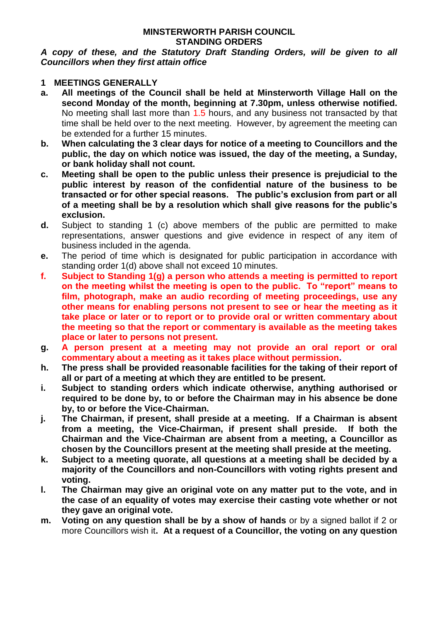#### **MINSTERWORTH PARISH COUNCIL STANDING ORDERS**

*A copy of these, and the Statutory Draft Standing Orders, will be given to all Councillors when they first attain office*

#### **1 MEETINGS GENERALLY**

- **a. All meetings of the Council shall be held at Minsterworth Village Hall on the second Monday of the month, beginning at 7.30pm, unless otherwise notified.**  No meeting shall last more than 1.5 hours, and any business not transacted by that time shall be held over to the next meeting. However, by agreement the meeting can be extended for a further 15 minutes.
- **b. When calculating the 3 clear days for notice of a meeting to Councillors and the public, the day on which notice was issued, the day of the meeting, a Sunday, or bank holiday shall not count.**
- **c. Meeting shall be open to the public unless their presence is prejudicial to the public interest by reason of the confidential nature of the business to be transacted or for other special reasons. The public's exclusion from part or all of a meeting shall be by a resolution which shall give reasons for the public's exclusion.**
- **d.** Subject to standing 1 (c) above members of the public are permitted to make representations, answer questions and give evidence in respect of any item of business included in the agenda.
- **e.** The period of time which is designated for public participation in accordance with standing order 1(d) above shall not exceed 10 minutes.
- **f. Subject to Standing 1(g) a person who attends a meeting is permitted to report on the meeting whilst the meeting is open to the public. To "report" means to film, photograph, make an audio recording of meeting proceedings, use any other means for enabling persons not present to see or hear the meeting as it take place or later or to report or to provide oral or written commentary about the meeting so that the report or commentary is available as the meeting takes place or later to persons not present.**
- **g. A person present at a meeting may not provide an oral report or oral commentary about a meeting as it takes place without permission.**
- **h. The press shall be provided reasonable facilities for the taking of their report of all or part of a meeting at which they are entitled to be present.**
- **i. Subject to standing orders which indicate otherwise, anything authorised or required to be done by, to or before the Chairman may in his absence be done by, to or before the Vice-Chairman.**
- **j. The Chairman, if present, shall preside at a meeting. If a Chairman is absent from a meeting, the Vice-Chairman, if present shall preside. If both the Chairman and the Vice-Chairman are absent from a meeting, a Councillor as chosen by the Councillors present at the meeting shall preside at the meeting.**
- **k. Subject to a meeting quorate, all questions at a meeting shall be decided by a majority of the Councillors and non-Councillors with voting rights present and voting.**
- **l. The Chairman may give an original vote on any matter put to the vote, and in the case of an equality of votes may exercise their casting vote whether or not they gave an original vote.**
- **m. Voting on any question shall be by a show of hands** or by a signed ballot if 2 or more Councillors wish it**. At a request of a Councillor, the voting on any question**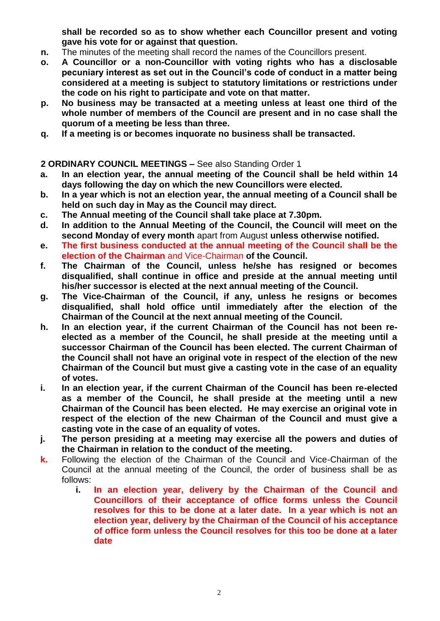**shall be recorded so as to show whether each Councillor present and voting gave his vote for or against that question.**

- **n.** The minutes of the meeting shall record the names of the Councillors present.
- **o. A Councillor or a non-Councillor with voting rights who has a disclosable pecuniary interest as set out in the Council's code of conduct in a matter being considered at a meeting is subject to statutory limitations or restrictions under the code on his right to participate and vote on that matter.**
- **p. No business may be transacted at a meeting unless at least one third of the whole number of members of the Council are present and in no case shall the quorum of a meeting be less than three.**
- **q. If a meeting is or becomes inquorate no business shall be transacted.**

## **2 ORDINARY COUNCIL MEETINGS –** See also Standing Order 1

- **a. In an election year, the annual meeting of the Council shall be held within 14 days following the day on which the new Councillors were elected.**
- **b. In a year which is not an election year, the annual meeting of a Council shall be held on such day in May as the Council may direct.**
- **c. The Annual meeting of the Council shall take place at 7.30pm.**
- **d. In addition to the Annual Meeting of the Council, the Council will meet on the second Monday of every month** apart from August **unless otherwise notified.**
- **e. The first business conducted at the annual meeting of the Council shall be the election of the Chairman** and Vice-Chairman **of the Council.**
- **f. The Chairman of the Council, unless he/she has resigned or becomes disqualified, shall continue in office and preside at the annual meeting until his/her successor is elected at the next annual meeting of the Council.**
- **g. The Vice-Chairman of the Council, if any, unless he resigns or becomes disqualified, shall hold office until immediately after the election of the Chairman of the Council at the next annual meeting of the Council.**
- **h. In an election year, if the current Chairman of the Council has not been reelected as a member of the Council, he shall preside at the meeting until a successor Chairman of the Council has been elected. The current Chairman of the Council shall not have an original vote in respect of the election of the new Chairman of the Council but must give a casting vote in the case of an equality of votes.**
- **i. In an election year, if the current Chairman of the Council has been re-elected as a member of the Council, he shall preside at the meeting until a new Chairman of the Council has been elected. He may exercise an original vote in respect of the election of the new Chairman of the Council and must give a casting vote in the case of an equality of votes.**
- **j. The person presiding at a meeting may exercise all the powers and duties of the Chairman in relation to the conduct of the meeting.**
- **k.** Following the election of the Chairman of the Council and Vice-Chairman of the Council at the annual meeting of the Council, the order of business shall be as follows:
	- **i. In an election year, delivery by the Chairman of the Council and Councillors of their acceptance of office forms unless the Council resolves for this to be done at a later date. In a year which is not an election year, delivery by the Chairman of the Council of his acceptance of office form unless the Council resolves for this too be done at a later date**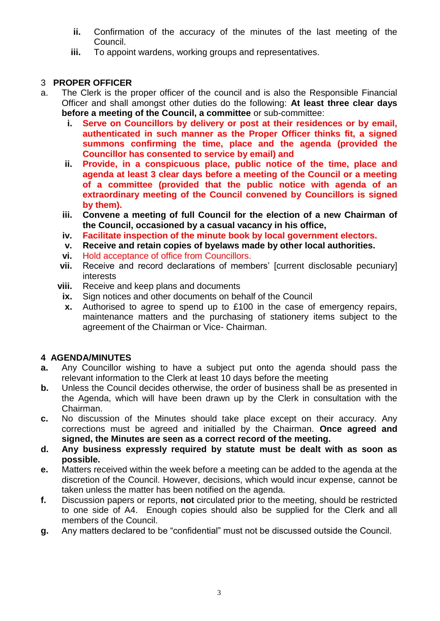- **ii.** Confirmation of the accuracy of the minutes of the last meeting of the Council.
- **iii.** To appoint wardens, working groups and representatives.

# 3 **PROPER OFFICER**

- a. The Clerk is the proper officer of the council and is also the Responsible Financial Officer and shall amongst other duties do the following: **At least three clear days before a meeting of the Council, a committee** or sub-committee:
	- **i. Serve on Councillors by delivery or post at their residences or by email, authenticated in such manner as the Proper Officer thinks fit, a signed summons confirming the time, place and the agenda (provided the Councillor has consented to service by email) and**
	- **ii. Provide, in a conspicuous place, public notice of the time, place and agenda at least 3 clear days before a meeting of the Council or a meeting of a committee (provided that the public notice with agenda of an extraordinary meeting of the Council convened by Councillors is signed by them).**
	- **iii. Convene a meeting of full Council for the election of a new Chairman of the Council, occasioned by a casual vacancy in his office,**
	- **iv. Facilitate inspection of the minute book by local government electors.**
	- **v. Receive and retain copies of byelaws made by other local authorities.**
	- **vi.** Hold acceptance of office from Councillors.
	- **vii.** Receive and record declarations of members' [current disclosable pecuniary] interests
	- **viii.** Receive and keep plans and documents
	- **ix.** Sign notices and other documents on behalf of the Council
	- **x.** Authorised to agree to spend up to £100 in the case of emergency repairs, maintenance matters and the purchasing of stationery items subject to the agreement of the Chairman or Vice- Chairman.

# **4 AGENDA/MINUTES**

- **a.** Any Councillor wishing to have a subject put onto the agenda should pass the relevant information to the Clerk at least 10 days before the meeting
- **b.** Unless the Council decides otherwise, the order of business shall be as presented in the Agenda, which will have been drawn up by the Clerk in consultation with the Chairman.
- **c.** No discussion of the Minutes should take place except on their accuracy. Any corrections must be agreed and initialled by the Chairman. **Once agreed and signed, the Minutes are seen as a correct record of the meeting.**
- **d. Any business expressly required by statute must be dealt with as soon as possible.**
- **e.** Matters received within the week before a meeting can be added to the agenda at the discretion of the Council. However, decisions, which would incur expense, cannot be taken unless the matter has been notified on the agenda.
- **f.** Discussion papers or reports, **not** circulated prior to the meeting, should be restricted to one side of A4. Enough copies should also be supplied for the Clerk and all members of the Council.
- **g.** Any matters declared to be "confidential" must not be discussed outside the Council.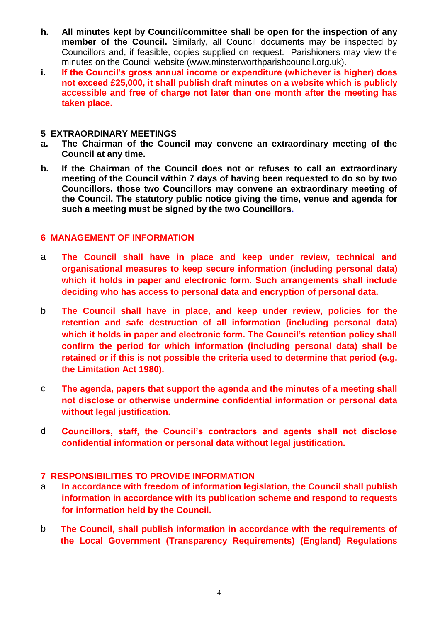- **h. All minutes kept by Council/committee shall be open for the inspection of any member of the Council.** Similarly, all Council documents may be inspected by Councillors and, if feasible, copies supplied on request. Parishioners may view the minutes on the Council website (www.minsterworthparishcouncil.org.uk).
- **i. If the Council's gross annual income or expenditure (whichever is higher) does not exceed £25,000, it shall publish draft minutes on a website which is publicly accessible and free of charge not later than one month after the meeting has taken place.**

#### **5 EXTRAORDINARY MEETINGS**

- **a. The Chairman of the Council may convene an extraordinary meeting of the Council at any time.**
- **b. If the Chairman of the Council does not or refuses to call an extraordinary meeting of the Council within 7 days of having been requested to do so by two Councillors, those two Councillors may convene an extraordinary meeting of the Council. The statutory public notice giving the time, venue and agenda for such a meeting must be signed by the two Councillors.**

## **6 MANAGEMENT OF INFORMATION**

- a **The Council shall have in place and keep under review, technical and organisational measures to keep secure information (including personal data) which it holds in paper and electronic form. Such arrangements shall include deciding who has access to personal data and encryption of personal data.**
- b **The Council shall have in place, and keep under review, policies for the retention and safe destruction of all information (including personal data) which it holds in paper and electronic form. The Council's retention policy shall confirm the period for which information (including personal data) shall be retained or if this is not possible the criteria used to determine that period (e.g. the Limitation Act 1980).**
- c **The agenda, papers that support the agenda and the minutes of a meeting shall not disclose or otherwise undermine confidential information or personal data without legal justification.**
- d **Councillors, staff, the Council's contractors and agents shall not disclose confidential information or personal data without legal justification.**

## **7 RESPONSIBILITIES TO PROVIDE INFORMATION**

- a **In accordance with freedom of information legislation, the Council shall publish information in accordance with its publication scheme and respond to requests for information held by the Council.**
- b **The Council, shall publish information in accordance with the requirements of the Local Government (Transparency Requirements) (England) Regulations**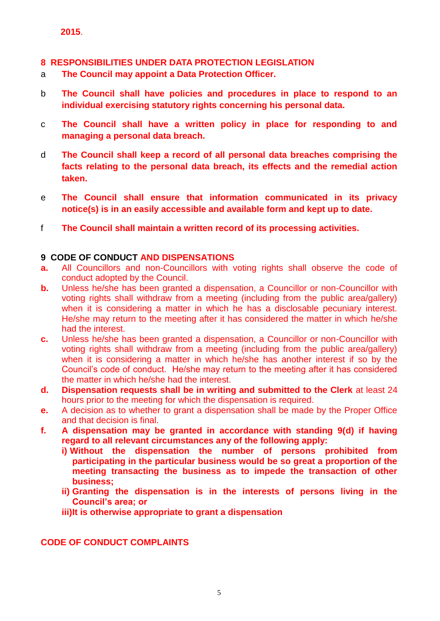# **8 RESPONSIBILITIES UNDER DATA PROTECTION LEGISLATION**

- a **The Council may appoint a Data Protection Officer.**
- b **The Council shall have policies and procedures in place to respond to an individual exercising statutory rights concerning his personal data.**
- c **The Council shall have a written policy in place for responding to and managing a personal data breach.**
- d **The Council shall keep a record of all personal data breaches comprising the facts relating to the personal data breach, its effects and the remedial action taken.**
- e **The Council shall ensure that information communicated in its privacy notice(s) is in an easily accessible and available form and kept up to date.**
- f **The Council shall maintain a written record of its processing activities.**

## **9 CODE OF CONDUCT AND DISPENSATIONS**

- **a.** All Councillors and non-Councillors with voting rights shall observe the code of conduct adopted by the Council.
- **b.** Unless he/she has been granted a dispensation, a Councillor or non-Councillor with voting rights shall withdraw from a meeting (including from the public area/gallery) when it is considering a matter in which he has a disclosable pecuniary interest. He/she may return to the meeting after it has considered the matter in which he/she had the interest.
- **c.** Unless he/she has been granted a dispensation, a Councillor or non-Councillor with voting rights shall withdraw from a meeting (including from the public area/gallery) when it is considering a matter in which he/she has another interest if so by the Council's code of conduct. He/she may return to the meeting after it has considered the matter in which he/she had the interest.
- **d. Dispensation requests shall be in writing and submitted to the Clerk** at least 24 hours prior to the meeting for which the dispensation is required.
- **e.** A decision as to whether to grant a dispensation shall be made by the Proper Office and that decision is final.
- **f. A dispensation may be granted in accordance with standing 9(d) if having regard to all relevant circumstances any of the following apply:**
	- **i) Without the dispensation the number of persons prohibited from participating in the particular business would be so great a proportion of the meeting transacting the business as to impede the transaction of other business;**
	- **ii) Granting the dispensation is in the interests of persons living in the Council's area; or**
	- **iii)It is otherwise appropriate to grant a dispensation**

**CODE OF CONDUCT COMPLAINTS**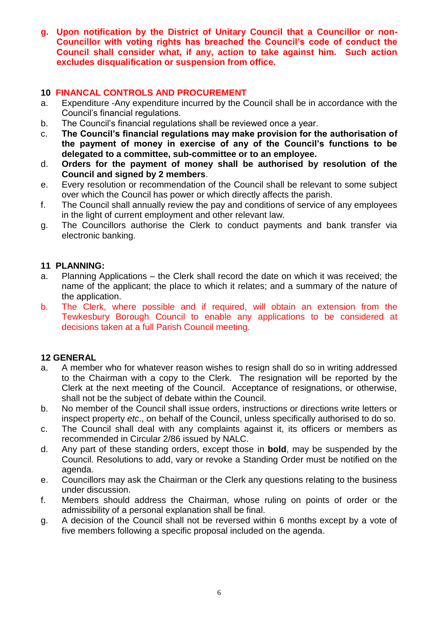**g. Upon notification by the District of Unitary Council that a Councillor or non-Councillor with voting rights has breached the Council's code of conduct the Council shall consider what, if any, action to take against him. Such action excludes disqualification or suspension from office.**

#### **10 FINANCAL CONTROLS AND PROCUREMENT**

- a. Expenditure -Any expenditure incurred by the Council shall be in accordance with the Council's financial regulations.
- b. The Council's financial regulations shall be reviewed once a year.
- c. **The Council's financial regulations may make provision for the authorisation of the payment of money in exercise of any of the Council's functions to be delegated to a committee, sub-committee or to an employee.**
- d. **Orders for the payment of money shall be authorised by resolution of the Council and signed by 2 members**.
- e. Every resolution or recommendation of the Council shall be relevant to some subject over which the Council has power or which directly affects the parish.
- f. The Council shall annually review the pay and conditions of service of any employees in the light of current employment and other relevant law.
- g. The Councillors authorise the Clerk to conduct payments and bank transfer via electronic banking.

#### **11 PLANNING:**

- a. Planning Applications the Clerk shall record the date on which it was received; the name of the applicant; the place to which it relates; and a summary of the nature of the application.
- b. The Clerk, where possible and if required, will obtain an extension from the Tewkesbury Borough Council to enable any applications to be considered at decisions taken at a full Parish Council meeting.

## **12 GENERAL**

- a. A member who for whatever reason wishes to resign shall do so in writing addressed to the Chairman with a copy to the Clerk. The resignation will be reported by the Clerk at the next meeting of the Council. Acceptance of resignations, or otherwise, shall not be the subject of debate within the Council.
- b. No member of the Council shall issue orders, instructions or directions write letters or inspect property *etc*., on behalf of the Council, unless specifically authorised to do so.
- c. The Council shall deal with any complaints against it, its officers or members as recommended in Circular 2/86 issued by NALC.
- d. Any part of these standing orders, except those in **bold**, may be suspended by the Council. Resolutions to add, vary or revoke a Standing Order must be notified on the agenda.
- e. Councillors may ask the Chairman or the Clerk any questions relating to the business under discussion.
- f. Members should address the Chairman, whose ruling on points of order or the admissibility of a personal explanation shall be final.
- g. A decision of the Council shall not be reversed within 6 months except by a vote of five members following a specific proposal included on the agenda.